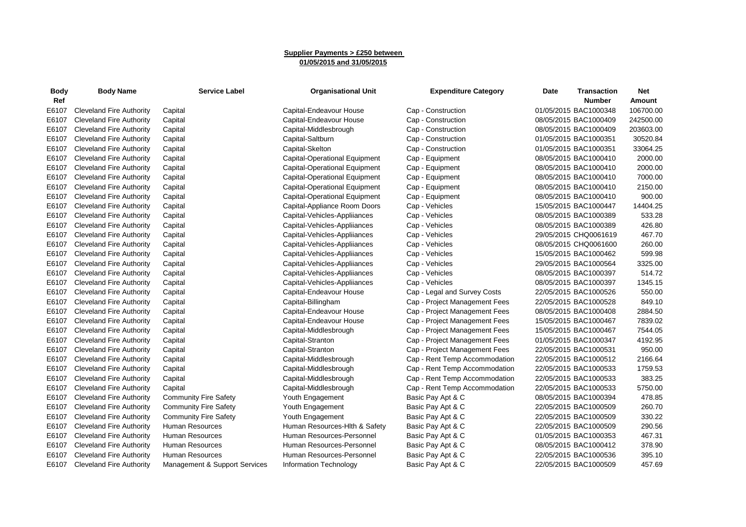## **Supplier Payments > £250 between 01/05/2015 and 31/05/2015**

| <b>Body</b><br>Ref | <b>Body Name</b>                | <b>Service Label</b>          | <b>Organisational Unit</b>    | <b>Expenditure Category</b>   | Date                  | <b>Transaction</b><br>Number | Net<br>Amount |
|--------------------|---------------------------------|-------------------------------|-------------------------------|-------------------------------|-----------------------|------------------------------|---------------|
| E6107              | Cleveland Fire Authority        | Capital                       | Capital-Endeavour House       | Cap - Construction            | 01/05/2015 BAC1000348 |                              | 106700.00     |
| E6107              | Cleveland Fire Authority        | Capital                       | Capital-Endeavour House       | Cap - Construction            | 08/05/2015 BAC1000409 |                              | 242500.00     |
| E6107              | Cleveland Fire Authority        | Capital                       | Capital-Middlesbrough         | Cap - Construction            | 08/05/2015 BAC1000409 |                              | 203603.00     |
| E6107              | <b>Cleveland Fire Authority</b> | Capital                       | Capital-Saltburn              | Cap - Construction            | 01/05/2015 BAC1000351 |                              | 30520.84      |
| E6107              | <b>Cleveland Fire Authority</b> | Capital                       | Capital-Skelton               | Cap - Construction            | 01/05/2015 BAC1000351 |                              | 33064.25      |
| E6107              | <b>Cleveland Fire Authority</b> | Capital                       | Capital-Operational Equipment | Cap - Equipment               | 08/05/2015 BAC1000410 |                              | 2000.00       |
| E6107              | <b>Cleveland Fire Authority</b> | Capital                       | Capital-Operational Equipment | Cap - Equipment               | 08/05/2015 BAC1000410 |                              | 2000.00       |
| E6107              | <b>Cleveland Fire Authority</b> | Capital                       | Capital-Operational Equipment | Cap - Equipment               | 08/05/2015 BAC1000410 |                              | 7000.00       |
| E6107              | <b>Cleveland Fire Authority</b> | Capital                       | Capital-Operational Equipment | Cap - Equipment               | 08/05/2015 BAC1000410 |                              | 2150.00       |
| E6107              | <b>Cleveland Fire Authority</b> | Capital                       | Capital-Operational Equipment | Cap - Equipment               | 08/05/2015 BAC1000410 |                              | 900.00        |
| E6107              | <b>Cleveland Fire Authority</b> | Capital                       | Capital-Appliance Room Doors  | Cap - Vehicles                | 15/05/2015 BAC1000447 |                              | 14404.25      |
| E6107              | <b>Cleveland Fire Authority</b> | Capital                       | Capital-Vehicles-Appliiances  | Cap - Vehicles                | 08/05/2015 BAC1000389 |                              | 533.28        |
| E6107              | <b>Cleveland Fire Authority</b> | Capital                       | Capital-Vehicles-Appliiances  | Cap - Vehicles                | 08/05/2015 BAC1000389 |                              | 426.80        |
| E6107              | <b>Cleveland Fire Authority</b> | Capital                       | Capital-Vehicles-Appliiances  | Cap - Vehicles                | 29/05/2015 CHQ0061619 |                              | 467.70        |
| E6107              | <b>Cleveland Fire Authority</b> | Capital                       | Capital-Vehicles-Appliiances  | Cap - Vehicles                | 08/05/2015 CHQ0061600 |                              | 260.00        |
| E6107              | <b>Cleveland Fire Authority</b> | Capital                       | Capital-Vehicles-Appliiances  | Cap - Vehicles                | 15/05/2015 BAC1000462 |                              | 599.98        |
| E6107              | <b>Cleveland Fire Authority</b> | Capital                       | Capital-Vehicles-Appliiances  | Cap - Vehicles                | 29/05/2015 BAC1000564 |                              | 3325.00       |
| E6107              | <b>Cleveland Fire Authority</b> | Capital                       | Capital-Vehicles-Appliiances  | Cap - Vehicles                | 08/05/2015 BAC1000397 |                              | 514.72        |
| E6107              | <b>Cleveland Fire Authority</b> | Capital                       | Capital-Vehicles-Appliiances  | Cap - Vehicles                | 08/05/2015 BAC1000397 |                              | 1345.15       |
| E6107              | <b>Cleveland Fire Authority</b> | Capital                       | Capital-Endeavour House       | Cap - Legal and Survey Costs  | 22/05/2015 BAC1000526 |                              | 550.00        |
| E6107              | <b>Cleveland Fire Authority</b> | Capital                       | Capital-Billingham            | Cap - Project Management Fees | 22/05/2015 BAC1000528 |                              | 849.10        |
| E6107              | <b>Cleveland Fire Authority</b> | Capital                       | Capital-Endeavour House       | Cap - Project Management Fees | 08/05/2015 BAC1000408 |                              | 2884.50       |
| E6107              | <b>Cleveland Fire Authority</b> | Capital                       | Capital-Endeavour House       | Cap - Project Management Fees | 15/05/2015 BAC1000467 |                              | 7839.02       |
| E6107              | <b>Cleveland Fire Authority</b> | Capital                       | Capital-Middlesbrough         | Cap - Project Management Fees | 15/05/2015 BAC1000467 |                              | 7544.05       |
| E6107              | <b>Cleveland Fire Authority</b> | Capital                       | Capital-Stranton              | Cap - Project Management Fees | 01/05/2015 BAC1000347 |                              | 4192.95       |
| E6107              | Cleveland Fire Authority        | Capital                       | Capital-Stranton              | Cap - Project Management Fees | 22/05/2015 BAC1000531 |                              | 950.00        |
| E6107              | <b>Cleveland Fire Authority</b> | Capital                       | Capital-Middlesbrough         | Cap - Rent Temp Accommodation | 22/05/2015 BAC1000512 |                              | 2166.64       |
| E6107              | <b>Cleveland Fire Authority</b> | Capital                       | Capital-Middlesbrough         | Cap - Rent Temp Accommodation | 22/05/2015 BAC1000533 |                              | 1759.53       |
| E6107              | <b>Cleveland Fire Authority</b> | Capital                       | Capital-Middlesbrough         | Cap - Rent Temp Accommodation | 22/05/2015 BAC1000533 |                              | 383.25        |
| E6107              | <b>Cleveland Fire Authority</b> | Capital                       | Capital-Middlesbrough         | Cap - Rent Temp Accommodation | 22/05/2015 BAC1000533 |                              | 5750.00       |
| E6107              | <b>Cleveland Fire Authority</b> | <b>Community Fire Safety</b>  | Youth Engagement              | Basic Pay Apt & C             | 08/05/2015 BAC1000394 |                              | 478.85        |
| E6107              | <b>Cleveland Fire Authority</b> | <b>Community Fire Safety</b>  | Youth Engagement              | Basic Pay Apt & C             | 22/05/2015 BAC1000509 |                              | 260.70        |
| E6107              | <b>Cleveland Fire Authority</b> | <b>Community Fire Safety</b>  | Youth Engagement              | Basic Pay Apt & C             | 22/05/2015 BAC1000509 |                              | 330.22        |
| E6107              | <b>Cleveland Fire Authority</b> | Human Resources               | Human Resources-Hith & Safety | Basic Pay Apt & C             | 22/05/2015 BAC1000509 |                              | 290.56        |
| E6107              | <b>Cleveland Fire Authority</b> | <b>Human Resources</b>        | Human Resources-Personnel     | Basic Pay Apt & C             | 01/05/2015 BAC1000353 |                              | 467.31        |
| E6107              | <b>Cleveland Fire Authority</b> | <b>Human Resources</b>        | Human Resources-Personnel     | Basic Pay Apt & C             | 08/05/2015 BAC1000412 |                              | 378.90        |
| E6107              | <b>Cleveland Fire Authority</b> | <b>Human Resources</b>        | Human Resources-Personnel     | Basic Pay Apt & C             | 22/05/2015 BAC1000536 |                              | 395.10        |
| E6107              | <b>Cleveland Fire Authority</b> | Management & Support Services | Information Technology        | Basic Pay Apt & C             | 22/05/2015 BAC1000509 |                              | 457.69        |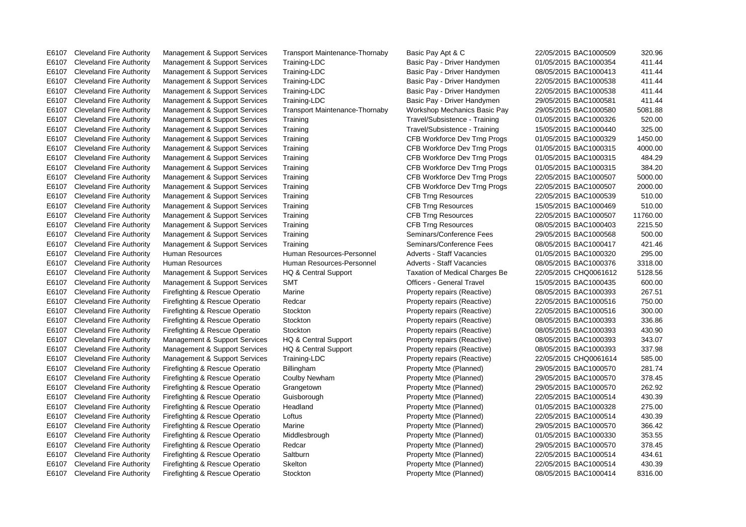| E6107 | <b>Cleveland Fire Authority</b> | Management & Support Services  | <b>Transport Maintenance-Thornaby</b> | Basic Pay Apt & C                | 22/05/2015 BAC1000509 | 320.96   |
|-------|---------------------------------|--------------------------------|---------------------------------------|----------------------------------|-----------------------|----------|
| E6107 | <b>Cleveland Fire Authority</b> | Management & Support Services  | Training-LDC                          | Basic Pay - Driver Handymen      | 01/05/2015 BAC1000354 | 411.44   |
| E6107 | <b>Cleveland Fire Authority</b> | Management & Support Services  | Training-LDC                          | Basic Pay - Driver Handymen      | 08/05/2015 BAC1000413 | 411.44   |
| E6107 | <b>Cleveland Fire Authority</b> | Management & Support Services  | Training-LDC                          | Basic Pay - Driver Handymen      | 22/05/2015 BAC1000538 | 411.44   |
| E6107 | <b>Cleveland Fire Authority</b> | Management & Support Services  | Training-LDC                          | Basic Pay - Driver Handymen      | 22/05/2015 BAC1000538 | 411.44   |
| E6107 | <b>Cleveland Fire Authority</b> | Management & Support Services  | Training-LDC                          | Basic Pay - Driver Handymen      | 29/05/2015 BAC1000581 | 411.44   |
| E6107 | <b>Cleveland Fire Authority</b> | Management & Support Services  | <b>Transport Maintenance-Thornaby</b> | Workshop Mechanics Basic Pay     | 29/05/2015 BAC1000580 | 5081.88  |
| E6107 | <b>Cleveland Fire Authority</b> | Management & Support Services  | Training                              | Travel/Subsistence - Training    | 01/05/2015 BAC1000326 | 520.00   |
| E6107 | <b>Cleveland Fire Authority</b> | Management & Support Services  | Training                              | Travel/Subsistence - Training    | 15/05/2015 BAC1000440 | 325.00   |
| E6107 | <b>Cleveland Fire Authority</b> | Management & Support Services  | Training                              | CFB Workforce Dev Trng Progs     | 01/05/2015 BAC1000329 | 1450.00  |
| E6107 | <b>Cleveland Fire Authority</b> | Management & Support Services  | Training                              | CFB Workforce Dev Trng Progs     | 01/05/2015 BAC1000315 | 4000.00  |
| E6107 | <b>Cleveland Fire Authority</b> | Management & Support Services  | Training                              | CFB Workforce Dev Trng Progs     | 01/05/2015 BAC1000315 | 484.29   |
| E6107 | <b>Cleveland Fire Authority</b> | Management & Support Services  | Training                              | CFB Workforce Dev Trng Progs     | 01/05/2015 BAC1000315 | 384.20   |
| E6107 | <b>Cleveland Fire Authority</b> | Management & Support Services  | Training                              | CFB Workforce Dev Trng Progs     | 22/05/2015 BAC1000507 | 5000.00  |
| E6107 | <b>Cleveland Fire Authority</b> | Management & Support Services  | Training                              | CFB Workforce Dev Trng Progs     | 22/05/2015 BAC1000507 | 2000.00  |
| E6107 | <b>Cleveland Fire Authority</b> | Management & Support Services  | Training                              | <b>CFB Trng Resources</b>        | 22/05/2015 BAC1000539 | 510.00   |
| E6107 | <b>Cleveland Fire Authority</b> | Management & Support Services  | Training                              | <b>CFB Trng Resources</b>        | 15/05/2015 BAC1000469 | 510.00   |
| E6107 | <b>Cleveland Fire Authority</b> | Management & Support Services  | Training                              | <b>CFB Trng Resources</b>        | 22/05/2015 BAC1000507 | 11760.00 |
| E6107 | <b>Cleveland Fire Authority</b> | Management & Support Services  | Training                              | <b>CFB Trng Resources</b>        | 08/05/2015 BAC1000403 | 2215.50  |
| E6107 | <b>Cleveland Fire Authority</b> | Management & Support Services  | Training                              | Seminars/Conference Fees         | 29/05/2015 BAC1000568 | 500.00   |
| E6107 | <b>Cleveland Fire Authority</b> | Management & Support Services  | Training                              | Seminars/Conference Fees         | 08/05/2015 BAC1000417 | 421.46   |
| E6107 | <b>Cleveland Fire Authority</b> | Human Resources                | Human Resources-Personnel             | <b>Adverts - Staff Vacancies</b> | 01/05/2015 BAC1000320 | 295.00   |
| E6107 | <b>Cleveland Fire Authority</b> | <b>Human Resources</b>         | Human Resources-Personnel             | <b>Adverts - Staff Vacancies</b> | 08/05/2015 BAC1000376 | 3318.00  |
| E6107 | <b>Cleveland Fire Authority</b> | Management & Support Services  | HQ & Central Support                  | Taxation of Medical Charges Be   | 22/05/2015 CHQ0061612 | 5128.56  |
| E6107 | <b>Cleveland Fire Authority</b> | Management & Support Services  | <b>SMT</b>                            | <b>Officers - General Travel</b> | 15/05/2015 BAC1000435 | 600.00   |
| E6107 | <b>Cleveland Fire Authority</b> | Firefighting & Rescue Operatio | Marine                                | Property repairs (Reactive)      | 08/05/2015 BAC1000393 | 267.51   |
| E6107 | <b>Cleveland Fire Authority</b> | Firefighting & Rescue Operatio | Redcar                                | Property repairs (Reactive)      | 22/05/2015 BAC1000516 | 750.00   |
| E6107 | <b>Cleveland Fire Authority</b> | Firefighting & Rescue Operatio | Stockton                              | Property repairs (Reactive)      | 22/05/2015 BAC1000516 | 300.00   |
| E6107 | <b>Cleveland Fire Authority</b> | Firefighting & Rescue Operatio | Stockton                              | Property repairs (Reactive)      | 08/05/2015 BAC1000393 | 336.86   |
| E6107 | <b>Cleveland Fire Authority</b> | Firefighting & Rescue Operatio | Stockton                              | Property repairs (Reactive)      | 08/05/2015 BAC1000393 | 430.90   |
| E6107 | <b>Cleveland Fire Authority</b> | Management & Support Services  | HQ & Central Support                  | Property repairs (Reactive)      | 08/05/2015 BAC1000393 | 343.07   |
| E6107 | <b>Cleveland Fire Authority</b> | Management & Support Services  | HQ & Central Support                  | Property repairs (Reactive)      | 08/05/2015 BAC1000393 | 337.98   |
| E6107 | <b>Cleveland Fire Authority</b> | Management & Support Services  | Training-LDC                          | Property repairs (Reactive)      | 22/05/2015 CHQ0061614 | 585.00   |
| E6107 | <b>Cleveland Fire Authority</b> | Firefighting & Rescue Operatio | Billingham                            | Property Mtce (Planned)          | 29/05/2015 BAC1000570 | 281.74   |
| E6107 | <b>Cleveland Fire Authority</b> | Firefighting & Rescue Operatio | Coulby Newham                         | Property Mtce (Planned)          | 29/05/2015 BAC1000570 | 378.45   |
| E6107 | <b>Cleveland Fire Authority</b> | Firefighting & Rescue Operatio | Grangetown                            | Property Mtce (Planned)          | 29/05/2015 BAC1000570 | 262.92   |
| E6107 | <b>Cleveland Fire Authority</b> | Firefighting & Rescue Operatio | Guisborough                           | Property Mtce (Planned)          | 22/05/2015 BAC1000514 | 430.39   |
| E6107 | <b>Cleveland Fire Authority</b> | Firefighting & Rescue Operatio | Headland                              | Property Mtce (Planned)          | 01/05/2015 BAC1000328 | 275.00   |
| E6107 | <b>Cleveland Fire Authority</b> | Firefighting & Rescue Operatio | Loftus                                | Property Mtce (Planned)          | 22/05/2015 BAC1000514 | 430.39   |
| E6107 | <b>Cleveland Fire Authority</b> | Firefighting & Rescue Operatio | Marine                                | Property Mtce (Planned)          | 29/05/2015 BAC1000570 | 366.42   |
| E6107 | <b>Cleveland Fire Authority</b> | Firefighting & Rescue Operatio | Middlesbrough                         | Property Mtce (Planned)          | 01/05/2015 BAC1000330 | 353.55   |
| E6107 | <b>Cleveland Fire Authority</b> | Firefighting & Rescue Operatio | Redcar                                | Property Mtce (Planned)          | 29/05/2015 BAC1000570 | 378.45   |
| E6107 | <b>Cleveland Fire Authority</b> | Firefighting & Rescue Operatio | Saltburn                              | Property Mtce (Planned)          | 22/05/2015 BAC1000514 | 434.61   |
| E6107 | <b>Cleveland Fire Authority</b> | Firefighting & Rescue Operatio | Skelton                               | Property Mtce (Planned)          | 22/05/2015 BAC1000514 | 430.39   |
| E6107 | Cleveland Fire Authority        | Firefighting & Rescue Operatio | Stockton                              | Property Mtce (Planned)          | 08/05/2015 BAC1000414 | 8316.00  |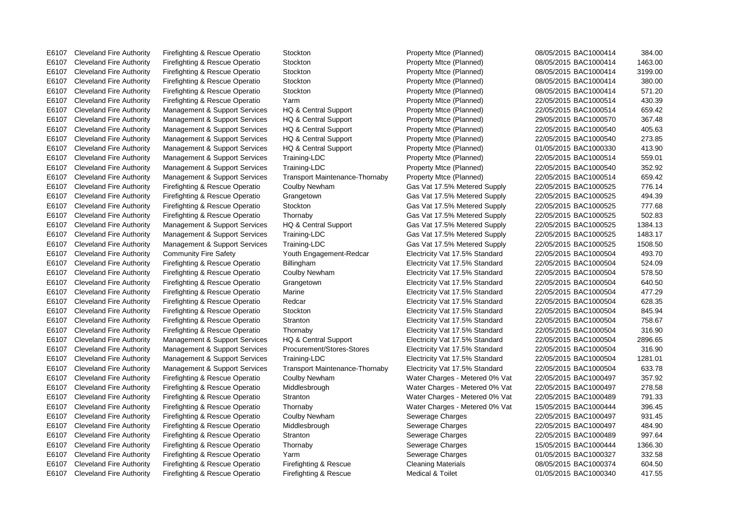E6107 Cleveland Fire Authority Firefighting & Rescue Operatio Stockton Property Mtce (Planned) 08/05/2015 BAC1000414 384.00

E6107 Cleveland Fire Authority Firefighting & Rescue Operatio Stockton Property Mtce (Planned) 08/05/2015 BAC1000414 1463.00 E6107 Cleveland Fire Authority Firefighting & Rescue Operatio Stockton Property Mtce (Planned) 08/05/2015 BAC1000414 3199.00 E6107 Cleveland Fire Authority Firefighting & Rescue Operatio Stockton Property Mtce (Planned) 08/05/2015 BAC1000414 380.00 E6107 Cleveland Fire Authority Firefighting & Rescue Operatio Stockton Property Mtce (Planned) 08/05/2015 BAC1000414 571.20 E6107 Cleveland Fire Authority Firefighting & Rescue Operatio Yarm Property Mtce (Planned) 22/05/2015 BAC1000514 430.39 E6107 Cleveland Fire Authority Management & Support Services HQ & Central Support Property Mtce (Planned) 22/05/2015 BAC1000514 659.42 E6107 Cleveland Fire Authority Management & Support Services HQ & Central Support Property Mtce (Planned) 29/05/2015 BAC1000570 367.48 E6107 Cleveland Fire Authority Management & Support Services HQ & Central Support Property Mtce (Planned) 22/05/2015 BAC1000540 405.63 E6107 Cleveland Fire Authority Management & Support Services HQ & Central Support Property Mtce (Planned) 22/05/2015 BAC1000540 273.85 E6107 Cleveland Fire Authority Management & Support Services HQ & Central Support Property Mtce (Planned) 01/05/2015 BAC1000330 413.90 E6107 Cleveland Fire Authority Management & Support Services Training-LDC Property Mtce (Planned) 22/05/2015 BAC1000514 559.01 E6107 Cleveland Fire Authority Management & Support Services Training-LDC Property Mtce (Planned) 22/05/2015 BAC1000540 352.92 E6107 Cleveland Fire Authority Management & Support Services Transport Maintenance-Thornaby Property Mtce (Planned) 22/05/2015 BAC1000514 659.42 E6107 Cleveland Fire Authority Firefighting & Rescue Operatio Coulby Newham Gas Vat 17.5% Metered Supply 22/05/2015 BAC1000525 776.14 E6107 Cleveland Fire Authority Firefighting & Rescue Operatio Grangetown Gas Vat 17.5% Metered Supply 22/05/2015 BAC1000525 494.39 E6107 Cleveland Fire Authority Firefighting & Rescue Operatio Stockton Gas Vat 17.5% Metered Supply 22/05/2015 BAC1000525 777.68 E6107 Cleveland Fire Authority Firefighting & Rescue Operatio Thornaby Gas Vat 17.5% Metered Supply 22/05/2015 BAC1000525 502.83 E6107 Cleveland Fire Authority Management & Support Services HQ & Central Support Gas Vat 17.5% Metered Supply 22/05/2015 BAC1000525 1384.13 E6107 Cleveland Fire Authority Management & Support Services Training-LDC Gas Vat 17.5% Metered Supply 22/05/2015 BAC1000525 1483.17 E6107 Cleveland Fire Authority Management & Support Services Training-LDC Gas Vat 17.5% Metered Supply 22/05/2015 BAC1000525 1508.50 E6107 Cleveland Fire Authority Community Fire Safety Youth Engagement-Redcar Electricity Vat 17.5% Standard 22/05/2015 BAC1000504 493.70 E6107 Cleveland Fire Authority Firefighting & Rescue Operatio Billingham Electricity Vat 17.5% Standard 22/05/2015 BAC1000504 524.09 E6107 Cleveland Fire Authority Firefighting & Rescue Operatio Coulby Newham Electricity Vat 17.5% Standard 22/05/2015 BAC1000504 578.50 E6107 Cleveland Fire Authority Firefighting & Rescue Operatio Grangetown Electricity Vat 17.5% Standard 22/05/2015 BAC1000504 640.50 E6107 Cleveland Fire Authority Firefighting & Rescue Operatio Marine Electricity Vat 17.5% Standard 22/05/2015 BAC1000504 477.29 E6107 Cleveland Fire Authority Firefighting & Rescue Operatio Redcar Electricity Vat 17.5% Standard 22/05/2015 BAC1000504 628.35 E6107 Cleveland Fire Authority Firefighting & Rescue Operatio Stockton Electricity Vat 17.5% Standard 22/05/2015 BAC1000504 845.94 E6107 Cleveland Fire Authority Firefighting & Rescue Operatio Stranton Electricity Vat 17.5% Standard 22/05/2015 BAC1000504 758.67 E6107 Cleveland Fire Authority Firefighting & Rescue Operatio Thornaby Electricity Vat 17.5% Standard 22/05/2015 BAC1000504 316.90 E6107 Cleveland Fire Authority Management & Support Services HQ & Central Support Electricity Vat 17.5% Standard 22/05/2015 BAC1000504 2896.65 E6107 Cleveland Fire Authority Management & Support Services Procurement/Stores-Stores Electricity Vat 17.5% Standard 22/05/2015 BAC1000504 316.90 E6107 Cleveland Fire Authority Management & Support Services Training-LDC Electricity Vat 17.5% Standard 22/05/2015 BAC1000504 1281.01 E6107 Cleveland Fire Authority Management & Support Services Transport Maintenance-Thornaby Electricity Vat 17.5% Standard 22/05/2015 BAC1000504 633.78 E6107 Cleveland Fire Authority Firefighting & Rescue Operatio Coulby Newham Water Charges - Metered 0% Vat 22/05/2015 BAC1000497 357.92 E6107 Cleveland Fire Authority Firefighting & Rescue Operatio Middlesbrough Water Charges - Metered 0% Vat 22/05/2015 BAC1000497 278.58 E6107 Cleveland Fire Authority Firefighting & Rescue Operatio Stranton Water Charges - Metered 0% Vat 22/05/2015 BAC1000489 791.33 E6107 Cleveland Fire Authority Firefighting & Rescue Operatio Thornaby Water Charges - Metered 0% Vat 15/05/2015 BAC1000444 396.45 E6107 Cleveland Fire Authority Firefighting & Rescue Operatio Coulby Newham Sewerage Charges 22/05/2015 BAC1000497 931.45 E6107 Cleveland Fire Authority Firefighting & Rescue Operatio Middlesbrough Sewerage Charges 22/05/2015 BAC1000497 484.90 E6107 Cleveland Fire Authority Firefighting & Rescue Operatio Stranton Sewerage Charges 22/05/2015 BAC1000489 997.64 E6107 Cleveland Fire Authority Firefighting & Rescue Operatio Thornaby Sewerage Charges 15/05/2015 BAC1000444 1366.30 E6107 Cleveland Fire Authority Firefighting & Rescue Operatio Yarm Sewerage Charges 61/05/2015 BAC1000327 332.58 E6107 Cleveland Fire Authority Firefighting & Rescue Operatio Firefighting & Rescue Cleaning Materials 08/05/2015 BAC1000374 604.50 E6107 Cleveland Fire Authority Firefighting & Rescue Operatio Firefighting & Rescue Medical & Toilet 01/05/2015 BAC1000340 417.55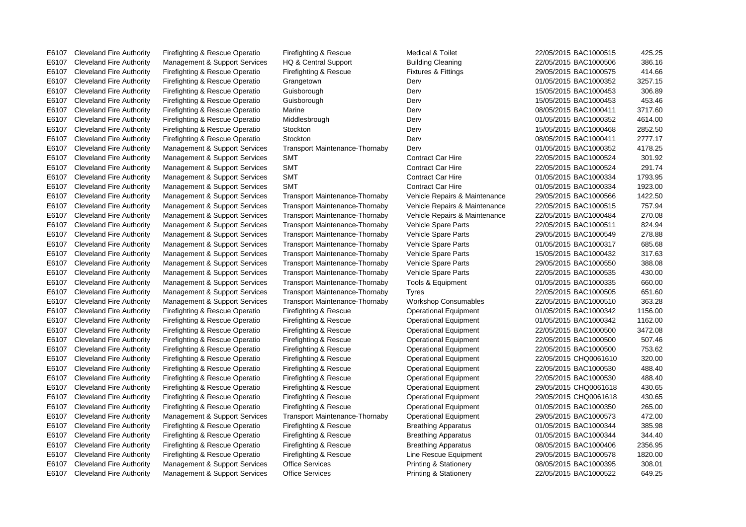E6107 Cleveland Fire Authority Management & Support Services Office Services Printing & Stationery 22/05/2015 BAC1000522 649.25

| E6107 | Cleveland Fire Authority           | Firefighting & Rescue Operatio         | Firefighting & Rescue                 | Medical & Toilet               | 22/05/2015 BAC1000515  | 425.25  |
|-------|------------------------------------|----------------------------------------|---------------------------------------|--------------------------------|------------------------|---------|
| E6107 | <b>Cleveland Fire Authority</b>    | Management & Support Services          | HQ & Central Support                  | <b>Building Cleaning</b>       | 22/05/2015 BAC1000506  | 386.16  |
| E6107 | <b>Cleveland Fire Authority</b>    | Firefighting & Rescue Operatio         | Firefighting & Rescue                 | <b>Fixtures &amp; Fittings</b> | 29/05/2015 BAC1000575  | 414.66  |
| E6107 | <b>Cleveland Fire Authority</b>    | Firefighting & Rescue Operatio         | Grangetown                            | Derv                           | 01/05/2015 BAC1000352  | 3257.15 |
| E6107 | <b>Cleveland Fire Authority</b>    | Firefighting & Rescue Operatio         | Guisborough                           | Derv                           | 15/05/2015 BAC1000453  | 306.89  |
| E6107 | <b>Cleveland Fire Authority</b>    | Firefighting & Rescue Operatio         | Guisborough                           | Derv                           | 15/05/2015 BAC1000453  | 453.46  |
| E6107 | <b>Cleveland Fire Authority</b>    | Firefighting & Rescue Operatio         | Marine                                | Derv                           | 08/05/2015 BAC1000411  | 3717.60 |
| E6107 | <b>Cleveland Fire Authority</b>    | Firefighting & Rescue Operatio         | Middlesbrough                         | Derv                           | 01/05/2015 BAC1000352  | 4614.00 |
| E6107 | <b>Cleveland Fire Authority</b>    | Firefighting & Rescue Operatio         | Stockton                              | Derv                           | 15/05/2015 BAC1000468  | 2852.50 |
| E6107 | <b>Cleveland Fire Authority</b>    | Firefighting & Rescue Operatio         | Stockton                              | Derv                           | 08/05/2015 BAC1000411  | 2777.17 |
| E6107 | <b>Cleveland Fire Authority</b>    | Management & Support Services          | <b>Transport Maintenance-Thornaby</b> | Derv                           | 01/05/2015 BAC1000352  | 4178.25 |
| E6107 | <b>Cleveland Fire Authority</b>    | Management & Support Services          | <b>SMT</b>                            | <b>Contract Car Hire</b>       | 22/05/2015 BAC1000524  | 301.92  |
| E6107 | <b>Cleveland Fire Authority</b>    | Management & Support Services          | <b>SMT</b>                            | <b>Contract Car Hire</b>       | 22/05/2015 BAC1000524  | 291.74  |
| E6107 | <b>Cleveland Fire Authority</b>    | Management & Support Services          | <b>SMT</b>                            | <b>Contract Car Hire</b>       | 01/05/2015 BAC1000334  | 1793.95 |
| E6107 | <b>Cleveland Fire Authority</b>    | Management & Support Services          | <b>SMT</b>                            | <b>Contract Car Hire</b>       | 01/05/2015 BAC1000334  | 1923.00 |
| E6107 | <b>Cleveland Fire Authority</b>    | Management & Support Services          | <b>Transport Maintenance-Thornaby</b> | Vehicle Repairs & Maintenance  | 29/05/2015 BAC1000566  | 1422.50 |
| E6107 | <b>Cleveland Fire Authority</b>    | Management & Support Services          | <b>Transport Maintenance-Thornaby</b> | Vehicle Repairs & Maintenance  | 22/05/2015 BAC1000515  | 757.94  |
| E6107 | <b>Cleveland Fire Authority</b>    | Management & Support Services          | <b>Transport Maintenance-Thornaby</b> | Vehicle Repairs & Maintenance  | 22/05/2015 BAC1000484  | 270.08  |
| E6107 | <b>Cleveland Fire Authority</b>    | Management & Support Services          | <b>Transport Maintenance-Thornaby</b> | Vehicle Spare Parts            | 22/05/2015 BAC1000511  | 824.94  |
| E6107 | <b>Cleveland Fire Authority</b>    | Management & Support Services          | <b>Transport Maintenance-Thornaby</b> | Vehicle Spare Parts            | 29/05/2015 BAC1000549  | 278.88  |
| E6107 | <b>Cleveland Fire Authority</b>    | Management & Support Services          | <b>Transport Maintenance-Thornaby</b> | Vehicle Spare Parts            | 01/05/2015 BAC1000317  | 685.68  |
| E6107 | <b>Cleveland Fire Authority</b>    | Management & Support Services          | <b>Transport Maintenance-Thornaby</b> | Vehicle Spare Parts            | 15/05/2015 BAC1000432  | 317.63  |
| E6107 | <b>Cleveland Fire Authority</b>    | Management & Support Services          | <b>Transport Maintenance-Thornaby</b> | Vehicle Spare Parts            | 29/05/2015 BAC1000550  | 388.08  |
| E6107 | <b>Cleveland Fire Authority</b>    | Management & Support Services          | <b>Transport Maintenance-Thornaby</b> | Vehicle Spare Parts            | 22/05/2015 BAC1000535  | 430.00  |
| E6107 | <b>Cleveland Fire Authority</b>    | Management & Support Services          | <b>Transport Maintenance-Thornaby</b> | Tools & Equipment              | 01/05/2015 BAC1000335  | 660.00  |
| E6107 | <b>Cleveland Fire Authority</b>    | Management & Support Services          | <b>Transport Maintenance-Thornaby</b> | Tyres                          | 22/05/2015 BAC1000505  | 651.60  |
| E6107 | <b>Cleveland Fire Authority</b>    | Management & Support Services          | <b>Transport Maintenance-Thornaby</b> | <b>Workshop Consumables</b>    | 22/05/2015 BAC1000510  | 363.28  |
| E6107 | <b>Cleveland Fire Authority</b>    | Firefighting & Rescue Operatio         | Firefighting & Rescue                 | <b>Operational Equipment</b>   | 01/05/2015 BAC1000342  | 1156.00 |
| E6107 | <b>Cleveland Fire Authority</b>    | Firefighting & Rescue Operatio         | Firefighting & Rescue                 | <b>Operational Equipment</b>   | 01/05/2015 BAC1000342  | 1162.00 |
| E6107 | <b>Cleveland Fire Authority</b>    | Firefighting & Rescue Operatio         | Firefighting & Rescue                 | <b>Operational Equipment</b>   | 22/05/2015 BAC1000500  | 3472.08 |
| E6107 | <b>Cleveland Fire Authority</b>    | Firefighting & Rescue Operatio         | Firefighting & Rescue                 | <b>Operational Equipment</b>   | 22/05/2015 BAC1000500  | 507.46  |
|       | $FA407$ Cloughood $Time$ Authority | $\Gamma$ isefiabtica 8 Deceus Operatio | $\Gamma$ isafiahtina $\Omega$ Depense | Operational Equipment          | OOIDEIOOLE DA CLOODEOO | 75000   |

E6107 Cleveland Fire Authority Management & Support Services HQ & Central Support Building Cleaning 22/05/2015 BAC1000506 386.16 E6107 Cleveland Fire Authority Firefighting & Rescue Operatio Firefighting & Rescue Fixtures & Fittings 29/05/2015 BAC1000575 414.66 E6107 Cleveland Fire Authority Firefighting & Rescue Operatio Grangetown Derv Derv Derv 01/05/2015 BAC1000352 3257.15 E6107 Cleveland Fire Authority Firefighting & Rescue Operatio Guisborough Derv Derv Derv 15/05/2015 BAC1000453 306.89 E6107 Cleveland Fire Authority Firefighting & Rescue Operatio Guisborough Derv 15/05/2015 BAC1000453 453.46 E6107 Cleveland Fire Authority Firefighting & Rescue Operatio Marine Derv 08/05/2015 BAC1000411 3717.60 E6107 Cleveland Fire Authority Firefighting & Rescue Operatio Middlesbrough Derv Derv Derv 01/05/2015 BAC1000352 4614.00 E6107 Cleveland Fire Authority Firefighting & Rescue Operatio Stockton Derv 15/05/2015 BAC1000468 2852.50 E6107 Cleveland Fire Authority Firefighting & Rescue Operatio Stockton Derv 08/05/2015 BAC1000411 2777.17 E6107 Cleveland Fire Authority Management & Support Services Transport Maintenance-Thornaby Derv 01/05/2015 BAC1000352 4178.25 E6107 Cleveland Fire Authority Management & Support Services SMT Contract Car Hire 22/05/2015 BAC1000524 301.92 E6107 Cleveland Fire Authority Management & Support Services SMT Contract Car Hire 22/05/2015 BAC1000524 291.74 E6107 Cleveland Fire Authority Management & Support Services SMT Contract Car Hire 01/05/2015 BAC1000334 1793.95 E6107 Cleveland Fire Authority Management & Support Services SMT Contract Car Hire 01/05/2015 BAC1000334 1923.00 E6107 Cleveland Fire Authority Management & Support Services Transport Maintenance-Thornaby Vehicle Repairs & Maintenance 29/05/2015 BAC1000566 1422.50 E6107 Cleveland Fire Authority Management & Support Services Transport Maintenance-Thornaby Vehicle Repairs & Maintenance 22/05/2015 BAC1000515 757.94 E6107 Cleveland Fire Authority Management & Support Services Transport Maintenance-Thornaby Vehicle Repairs & Maintenance 22/05/2015 BAC1000484 270.08 E6107 Cleveland Fire Authority Management & Support Services Transport Maintenance-Thornaby Vehicle Spare Parts 22/05/2015 BAC1000511 824.94 E6107 Cleveland Fire Authority Management & Support Services Transport Maintenance-Thornaby Vehicle Spare Parts 29/05/2015 BAC1000549 278.88 E6107 Cleveland Fire Authority Management & Support Services Transport Maintenance-Thornaby Vehicle Spare Parts 01/05/2015 BAC1000317 685.68 E6107 Cleveland Fire Authority Management & Support Services Transport Maintenance-Thornaby Vehicle Spare Parts 15/05/2015 BAC1000432 317.63 E6107 Cleveland Fire Authority Management & Support Services Transport Maintenance-Thornaby Vehicle Spare Parts 29/05/2015 BAC1000550 388.08 E6107 Cleveland Fire Authority Management & Support Services Transport Maintenance-Thornaby Vehicle Spare Parts 22/05/2015 BAC1000535 430.00 E6107 Cleveland Fire Authority Management & Support Services Transport Maintenance-Thornaby Tools & Equipment 01/05/2015 BAC1000335 660.00 E6107 Cleveland Fire Authority Management & Support Services Transport Maintenance-Thornaby Tyres 22/05/2015 BAC1000505 651.60 E6107 Cleveland Fire Authority Management & Support Services Transport Maintenance-Thornaby Workshop Consumables 22/05/2015 BAC1000510 363.28 E6107 Cleveland Fire Authority Firefighting & Rescue Operatio Firefighting & Rescue Operational Equipment 01/05/2015 BAC1000342 1156.00 E6107 Cleveland Fire Authority Firefighting & Rescue Operatio Firefighting & Rescue Operational Equipment 01/05/2015 BAC1000342 1162.00 E6107 Cleveland Fire Authority Firefighting & Rescue Operatio Firefighting & Rescue Operational Equipment 22/05/2015 BAC1000500 3472.08 E6107 Cleveland Fire Authority Firefighting & Rescue Operatio Firefighting & Rescue Operational Equipment 22/05/2015 BAC1000500 507.46 E6107 Cleveland Fire Authority Firefighting & Rescue Operatio Firefighting & Rescue Operational Equipment 22/05/2015 BAC1000500 753.62 E6107 Cleveland Fire Authority Firefighting & Rescue Operatio Firefighting & Rescue Operational Equipment 22/05/2015 CHQ0061610 320.00 E6107 Cleveland Fire Authority Firefighting & Rescue Operatio Firefighting & Rescue Operational Equipment 22/05/2015 BAC1000530 488.40 E6107 Cleveland Fire Authority Firefighting & Rescue Operatio Firefighting & Rescue Operational Equipment 22/05/2015 BAC1000530 488.40 E6107 Cleveland Fire Authority Firefighting & Rescue Operatio Firefighting & Rescue Operational Equipment 29/05/2015 CHQ0061618 430.65 E6107 Cleveland Fire Authority Firefighting & Rescue Operatio Firefighting & Rescue Operational Equipment 29/05/2015 CHQ0061618 430.65 E6107 Cleveland Fire Authority Firefighting & Rescue Operatio Firefighting & Rescue Operational Equipment 01/05/2015 BAC1000350 265.00 E6107 Cleveland Fire Authority Management & Support Services Transport Maintenance-Thornaby Operational Equipment 29/05/2015 BAC1000573 472.00 E6107 Cleveland Fire Authority Firefighting & Rescue Operatio Firefighting & Rescue Breathing Apparatus 01/05/2015 BAC1000344 385.98 E6107 Cleveland Fire Authority Firefighting & Rescue Operatio Firefighting & Rescue Breathing Apparatus 01/05/2015 BAC1000344 344.40 E6107 Cleveland Fire Authority Firefighting & Rescue Operatio Firefighting & Rescue Breathing Apparatus 08/05/2015 BAC1000406 2356.95 E6107 Cleveland Fire Authority Firefighting & Rescue Operatio Firefighting & Rescue Line Rescue Equipment 29/05/2015 BAC1000578 1820.00 E6107 Cleveland Fire Authority Management & Support Services Office Services Printing & Stationery 08/05/2015 BAC1000395 308.01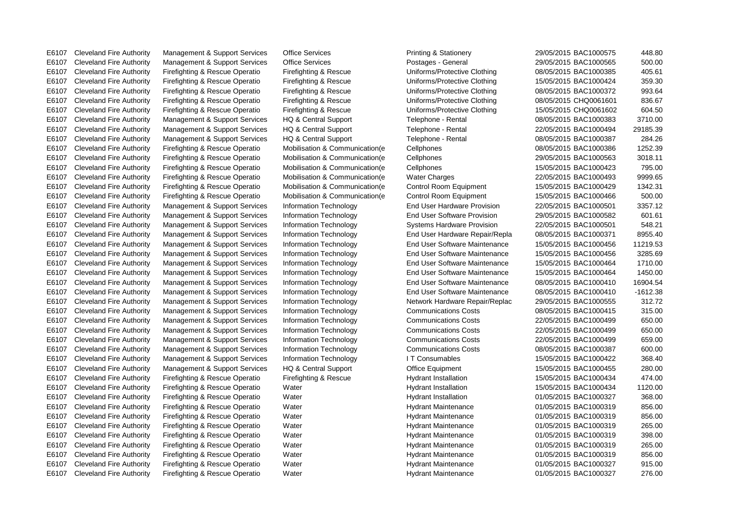E6107 Cleveland Fire Authority Firefighting & Rescue Operatio Water National Hydrant Maintenance 01/05/2015 BAC1000327 276.00

E6107 Cleveland Fire Authority Management & Support Services Office Services Printing & Stationery 29/05/2015 BAC1000575 448.80

E6107 Cleveland Fire Authority Management & Support Services Office Services Postages - General 29/05/2015 BAC1000565 500.00 E6107 Cleveland Fire Authority Firefighting & Rescue Operatio Firefighting & Rescue Uniforms/Protective Clothing 08/05/2015 BAC1000385 405.61 E6107 Cleveland Fire Authority Firefighting & Rescue Operatio Firefighting & Rescue Uniforms/Protective Clothing 15/05/2015 BAC1000424 359.30 E6107 Cleveland Fire Authority Firefighting & Rescue Operatio Firefighting & Rescue Uniforms/Protective Clothing 08/05/2015 BAC1000372 993.64 E6107 Cleveland Fire Authority Firefighting & Rescue Operatio Firefighting & Rescue Uniforms/Protective Clothing 08/05/2015 CHQ0061601 836.67 E6107 Cleveland Fire Authority Firefighting & Rescue Operatio Firefighting & Rescue Uniforms/Protective Clothing 15/05/2015 CHQ0061602 604.50 E6107 Cleveland Fire Authority Management & Support Services HQ & Central Support Telephone - Rental 08/05/2015 BAC1000383 3710.00 E6107 Cleveland Fire Authority Management & Support Services HQ & Central Support Telephone - Rental 22/05/2015 BAC1000494 29185.39 E6107 Cleveland Fire Authority Management & Support Services HQ & Central Support Telephone - Rental 08/05/2015 BAC1000387 284.26 E6107 Cleveland Fire Authority Firefighting & Rescue Operatio Mobilisation & Communication(e Cellphones 08/05/2015 BAC1000386 1252.39 E6107 Cleveland Fire Authority Firefighting & Rescue Operatio Mobilisation & Communication(e Cellphones 29/05/2015 BAC1000563 3018.11 E6107 Cleveland Fire Authority Firefighting & Rescue Operatio Mobilisation & Communication(e Cellphones 15/05/2015 BAC1000423 795.00 E6107 Cleveland Fire Authority Firefighting & Rescue Operatio Mobilisation & Communication(e Water Charges 22/05/2015 BAC1000493 9999.65 E6107 Cleveland Fire Authority Firefighting & Rescue Operatio Mobilisation & Communication(e Control Room Equipment 15/05/2015 BAC1000429 1342.31 E6107 Cleveland Fire Authority Firefighting & Rescue Operatio Mobilisation & Communication(e Control Room Equipment 15/05/2015 BAC1000466 500.00 E6107 Cleveland Fire Authority Management & Support Services Information Technology End User Hardware Provision 22/05/2015 BAC1000501 3357.12 E6107 Cleveland Fire Authority Management & Support Services Information Technology End User Software Provision 29/05/2015 BAC1000582 601.61 E6107 Cleveland Fire Authority Management & Support Services Information Technology Systems Hardware Provision 22/05/2015 BAC1000501 548.21 E6107 Cleveland Fire Authority Management & Support Services Information Technology End User Hardware Repair/Repla 08/05/2015 BAC1000371 8955.40 E6107 Cleveland Fire Authority Management & Support Services Information Technology End User Software Maintenance 15/05/2015 BAC1000456 11219.53 E6107 Cleveland Fire Authority Management & Support Services Information Technology End User Software Maintenance 15/05/2015 BAC1000456 3285.69 E6107 Cleveland Fire Authority Management & Support Services Information Technology End User Software Maintenance 15/05/2015 BAC1000464 1710.00 E6107 Cleveland Fire Authority Management & Support Services Information Technology End User Software Maintenance 15/05/2015 BAC1000464 1450.00 E6107 Cleveland Fire Authority Management & Support Services Information Technology End User Software Maintenance 08/05/2015 BAC1000410 16904.54 E6107 Cleveland Fire Authority Management & Support Services Information Technology End User Software Maintenance 08/05/2015 BAC1000410 -1612.38 E6107 Cleveland Fire Authority Management & Support Services Information Technology Network Hardware Repair/Replac 29/05/2015 BAC1000555 312.72 E6107 Cleveland Fire Authority Management & Support Services Information Technology Communications Costs 08/05/2015 BAC1000415 315.00 E6107 Cleveland Fire Authority Management & Support Services Information Technology Communications Costs 22/05/2015 BAC1000499 650.00 E6107 Cleveland Fire Authority Management & Support Services Information Technology Communications Costs 22/05/2015 BAC1000499 650.00 E6107 Cleveland Fire Authority Management & Support Services Information Technology Communications Costs 22/05/2015 BAC1000499 659.00 E6107 Cleveland Fire Authority Management & Support Services Information Technology Communications Costs 08/05/2015 BAC1000387 600.00 E6107 Cleveland Fire Authority Management & Support Services Information Technology IT Consumables 15/05/2015 BAC1000422 368.40 E6107 Cleveland Fire Authority Management & Support Services HQ & Central Support Office Equipment 15/05/2015 BAC1000455 280.00 E6107 Cleveland Fire Authority Firefighting & Rescue Operatio Firefighting & Rescue Hydrant Installation 15/05/2015 BAC1000434 474.00 E6107 Cleveland Fire Authority Firefighting & Rescue Operatio Water Hydrant Installation 15/05/2015 BAC1000434 1120.00 E6107 Cleveland Fire Authority Firefighting & Rescue Operatio Water Nater Hydrant Installation 01/05/2015 BAC1000327 368.00 E6107 Cleveland Fire Authority Firefighting & Rescue Operatio Water Nater Hydrant Maintenance 01/05/2015 BAC1000319 856.00 E6107 Cleveland Fire Authority Firefighting & Rescue Operatio Water Nater Hydrant Maintenance 01/05/2015 BAC1000319 856.00 E6107 Cleveland Fire Authority Firefighting & Rescue Operatio Water Nater Hydrant Maintenance 01/05/2015 BAC1000319 265.00 E6107 Cleveland Fire Authority Firefighting & Rescue Operatio Water Nater Hydrant Maintenance 01/05/2015 BAC1000319 398.00 E6107 Cleveland Fire Authority Firefighting & Rescue Operatio Water Hydrant Maintenance 01/05/2015 BAC1000319 265.00 E6107 Cleveland Fire Authority Firefighting & Rescue Operatio Water Nater Hydrant Maintenance 01/05/2015 BAC1000319 856.00 E6107 Cleveland Fire Authority Firefighting & Rescue Operatio Water Nater Hydrant Maintenance 01/05/2015 BAC1000327 915.00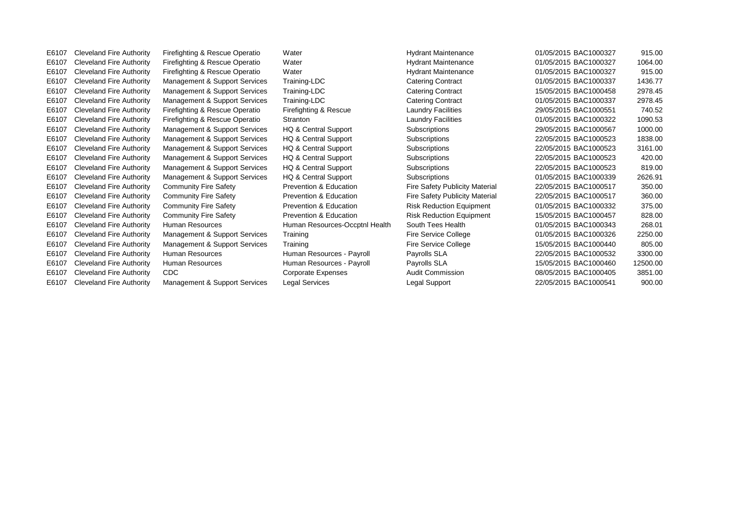E6107 Cleveland Fire Authority Firefighting & Rescue Operatio Water Nater Hydrant Maintenance 01/05/2015 BAC1000327 915.00 E6107 Cleveland Fire Authority Firefighting & Rescue Operatio Water Hydrant Maintenance 01/05/2015 BAC1000327 1064.00 E6107 Cleveland Fire Authority Firefighting & Rescue Operatio Water Nater Hydrant Maintenance 01/05/2015 BAC1000327 915.00 E6107 Cleveland Fire Authority Management & Support Services Training-LDC Catering Contract 01/05/2015 BAC1000337 1436.77 E6107 Cleveland Fire Authority Management & Support Services Training-LDC Catering Contract 15/05/2015 BAC1000458 2978.45 E6107 Cleveland Fire Authority Management & Support Services Training-LDC Catering Contract 01/05/2015 BAC1000337 2978.45 E6107 Cleveland Fire Authority Firefighting & Rescue Operatio Firefighting & Rescue Laundry Facilities 29/05/2015 BAC1000551 740.52 E6107 Cleveland Fire Authority Firefighting & Rescue Operatio Stranton Laundry Facilities 01/05/2015 BAC1000322 1090.53 E6107 Cleveland Fire Authority Management & Support Services HQ & Central Support Subscriptions 29/05/2015 BAC1000567 1000.00 E6107 Cleveland Fire Authority Management & Support Services HQ & Central Support Subscriptions 22/05/2015 BAC1000523 1838.00 E6107 Cleveland Fire Authority Management & Support Services HQ & Central Support Subscriptions 22/05/2015 BAC1000523 3161.00 E6107 Cleveland Fire Authority Management & Support Services HQ & Central Support Subscriptions 22/05/2015 BAC1000523 420.00 E6107 Cleveland Fire Authority Management & Support Services HQ & Central Support Subscriptions 22/05/2015 BAC1000523 819.00 E6107 Cleveland Fire Authority Management & Support Services HQ & Central Support Subscriptions 01/05/2015 BAC1000339 2626.91 E6107 Cleveland Fire Authority Community Fire Safety **Prevention & Education** Fire Safety Publicity Material 22/05/2015 BAC1000517 350.00 E6107 Cleveland Fire Authority Community Fire Safety **Prevention & Education** Fire Safety Publicity Material 22/05/2015 BAC1000517 360.00 E6107 Cleveland Fire Authority Community Fire Safety Prevention & Education Risk Reduction Equipment 01/05/2015 BAC1000332 375.00 E6107 Cleveland Fire Authority Community Fire Safety Prevention & Education Risk Reduction Equipment 15/05/2015 BAC1000457 828.00 E6107 Cleveland Fire Authority Human Resources Numan Resources-Occptnl Health South Tees Health 01/05/2015 BAC1000343 268.01 E6107 Cleveland Fire Authority Management & Support Services Training Fire Service College 01/05/2015 BAC1000326 2250.00 E6107 Cleveland Fire Authority Management & Support Services Training Fire Service College 15/05/2015 BAC1000440 805.00 E6107 Cleveland Fire Authority Human Resources Human Resources - Payroll Payrolls SLA 22/05/2015 BAC1000532 3300.00 E6107 Cleveland Fire Authority Human Resources Human Resources - Payroll Payrolls SLA 15/05/2015 BAC1000460 12500.00 E6107 Cleveland Fire Authority CDC Corporate Expenses Audit Commission 08/05/2015 BAC1000405 3851.00 E6107 Cleveland Fire Authority Management & Support Services Legal Services Legal Support 22/05/2015 BAC1000541 900.00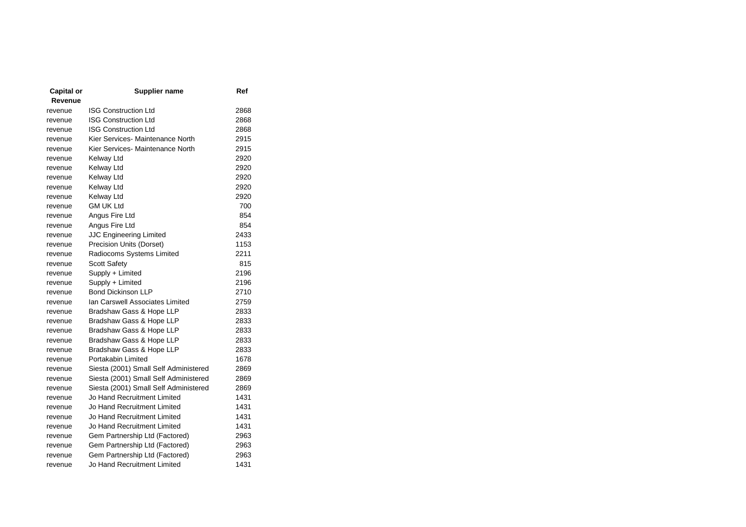| Capital or | <b>Supplier name</b>                  | Ref  |
|------------|---------------------------------------|------|
| Revenue    |                                       |      |
| revenue    | <b>ISG Construction Ltd</b>           | 2868 |
| revenue    | <b>ISG Construction Ltd</b>           | 2868 |
| revenue    | <b>ISG Construction Ltd</b>           | 2868 |
| revenue    | Kier Services- Maintenance North      | 2915 |
| revenue    | Kier Services- Maintenance North      | 2915 |
| revenue    | Kelway Ltd                            | 2920 |
| revenue    | Kelway Ltd                            | 2920 |
| revenue    | Kelway Ltd                            | 2920 |
| revenue    | Kelway Ltd                            | 2920 |
| revenue    | Kelway Ltd                            | 2920 |
| revenue    | GM UK Ltd                             | 700  |
| revenue    | Angus Fire Ltd                        | 854  |
| revenue    | Angus Fire Ltd                        | 854  |
| revenue    | <b>JJC Engineering Limited</b>        | 2433 |
| revenue    | Precision Units (Dorset)              | 1153 |
| revenue    | Radiocoms Systems Limited             | 2211 |
| revenue    | <b>Scott Safety</b>                   | 815  |
| revenue    | Supply + Limited                      | 2196 |
| revenue    | Supply + Limited                      | 2196 |
| revenue    | <b>Bond Dickinson LLP</b>             | 2710 |
| revenue    | Ian Carswell Associates Limited       | 2759 |
| revenue    | Bradshaw Gass & Hope LLP              | 2833 |
| revenue    | Bradshaw Gass & Hope LLP              | 2833 |
| revenue    | Bradshaw Gass & Hope LLP              | 2833 |
| revenue    | Bradshaw Gass & Hope LLP              | 2833 |
| revenue    | Bradshaw Gass & Hope LLP              | 2833 |
| revenue    | Portakabin Limited                    | 1678 |
| revenue    | Siesta (2001) Small Self Administered | 2869 |
| revenue    | Siesta (2001) Small Self Administered | 2869 |
| revenue    | Siesta (2001) Small Self Administered | 2869 |
| revenue    | Jo Hand Recruitment Limited           | 1431 |
| revenue    | Jo Hand Recruitment Limited           | 1431 |
| revenue    | Jo Hand Recruitment Limited           | 1431 |
| revenue    | Jo Hand Recruitment Limited           | 1431 |
| revenue    | Gem Partnership Ltd (Factored)        | 2963 |
| revenue    | Gem Partnership Ltd (Factored)        | 2963 |
| revenue    | Gem Partnership Ltd (Factored)        | 2963 |
| revenue    | Jo Hand Recruitment Limited           | 1431 |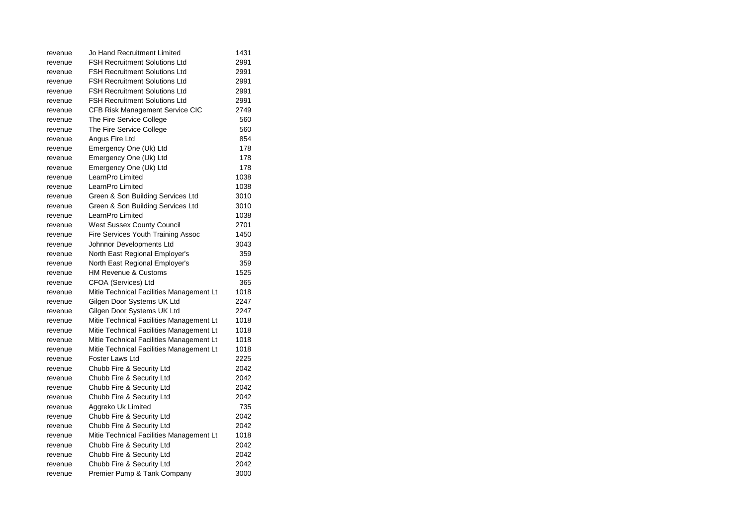| revenue | Jo Hand Recruitment Limited              | 1431 |
|---------|------------------------------------------|------|
| revenue | <b>FSH Recruitment Solutions Ltd</b>     | 2991 |
| revenue | <b>FSH Recruitment Solutions Ltd</b>     | 2991 |
| revenue | <b>FSH Recruitment Solutions Ltd</b>     | 2991 |
| revenue | <b>FSH Recruitment Solutions Ltd</b>     | 2991 |
| revenue | <b>FSH Recruitment Solutions Ltd</b>     | 2991 |
| revenue | CFB Risk Management Service CIC          | 2749 |
| revenue | The Fire Service College                 | 560  |
| revenue | The Fire Service College                 | 560  |
| revenue | Angus Fire Ltd                           | 854  |
| revenue | Emergency One (Uk) Ltd                   | 178  |
| revenue | Emergency One (Uk) Ltd                   | 178  |
| revenue | Emergency One (Uk) Ltd                   | 178  |
| revenue | LearnPro Limited                         | 1038 |
| revenue | LearnPro Limited                         | 1038 |
| revenue | Green & Son Building Services Ltd        | 3010 |
| revenue | Green & Son Building Services Ltd        | 3010 |
| revenue | LearnPro Limited                         | 1038 |
| revenue | West Sussex County Council               | 2701 |
| revenue | Fire Services Youth Training Assoc       | 1450 |
| revenue | Johnnor Developments Ltd                 | 3043 |
| revenue | North East Regional Employer's           | 359  |
| revenue | North East Regional Employer's           | 359  |
| revenue | <b>HM Revenue &amp; Customs</b>          | 1525 |
| revenue | CFOA (Services) Ltd                      | 365  |
| revenue | Mitie Technical Facilities Management Lt | 1018 |
| revenue | Gilgen Door Systems UK Ltd               | 2247 |
| revenue | Gilgen Door Systems UK Ltd               | 2247 |
| revenue | Mitie Technical Facilities Management Lt | 1018 |
| revenue | Mitie Technical Facilities Management Lt | 1018 |
| revenue | Mitie Technical Facilities Management Lt | 1018 |
| revenue | Mitie Technical Facilities Management Lt | 1018 |
| revenue | Foster Laws Ltd                          | 2225 |
| revenue | Chubb Fire & Security Ltd                | 2042 |
| revenue | Chubb Fire & Security Ltd                | 2042 |
| revenue | Chubb Fire & Security Ltd                | 2042 |
| revenue | Chubb Fire & Security Ltd                | 2042 |
| revenue | Aggreko Uk Limited                       | 735  |
| revenue | Chubb Fire & Security Ltd                | 2042 |
| revenue | Chubb Fire & Security Ltd                | 2042 |
| revenue | Mitie Technical Facilities Management Lt | 1018 |
| revenue | Chubb Fire & Security Ltd                | 2042 |
| revenue | Chubb Fire & Security Ltd                | 2042 |
| revenue | Chubb Fire & Security Ltd                | 2042 |
| revenue | Premier Pump & Tank Company              | 3000 |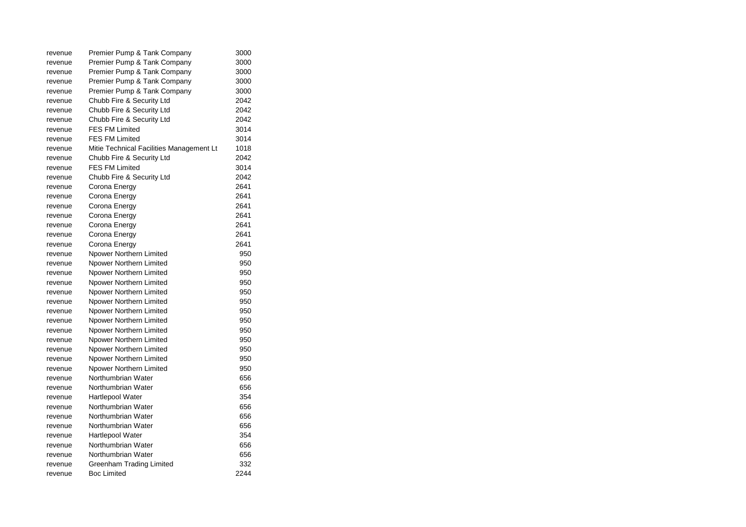| revenue | Premier Pump & Tank Company              | 3000 |
|---------|------------------------------------------|------|
| revenue | Premier Pump & Tank Company              | 3000 |
| revenue | Premier Pump & Tank Company              | 3000 |
| revenue | Premier Pump & Tank Company              | 3000 |
| revenue | Premier Pump & Tank Company              | 3000 |
| revenue | Chubb Fire & Security Ltd                | 2042 |
| revenue | Chubb Fire & Security Ltd                | 2042 |
| revenue | Chubb Fire & Security Ltd                | 2042 |
| revenue | <b>FES FM Limited</b>                    | 3014 |
| revenue | <b>FES FM Limited</b>                    | 3014 |
| revenue | Mitie Technical Facilities Management Lt | 1018 |
| revenue | Chubb Fire & Security Ltd                | 2042 |
| revenue | <b>FES FM Limited</b>                    | 3014 |
| revenue | Chubb Fire & Security Ltd                | 2042 |
| revenue | Corona Energy                            | 2641 |
| revenue | Corona Energy                            | 2641 |
| revenue | Corona Energy                            | 2641 |
| revenue | Corona Energy                            | 2641 |
| revenue | Corona Energy                            | 2641 |
| revenue | Corona Energy                            | 2641 |
| revenue | Corona Energy                            | 2641 |
| revenue | Npower Northern Limited                  | 950  |
| revenue | Npower Northern Limited                  | 950  |
| revenue | Npower Northern Limited                  | 950  |
| revenue | Npower Northern Limited                  | 950  |
| revenue | Npower Northern Limited                  | 950  |
| revenue | Npower Northern Limited                  | 950  |
| revenue | Npower Northern Limited                  | 950  |
| revenue | Npower Northern Limited                  | 950  |
| revenue | Npower Northern Limited                  | 950  |
| revenue | Npower Northern Limited                  | 950  |
| revenue | Npower Northern Limited                  | 950  |
| revenue | Npower Northern Limited                  | 950  |
| revenue | Npower Northern Limited                  | 950  |
| revenue | Northumbrian Water                       | 656  |
| revenue | Northumbrian Water                       | 656  |
| revenue | Hartlepool Water                         | 354  |
| revenue | Northumbrian Water                       | 656  |
| revenue | Northumbrian Water                       | 656  |
| revenue | Northumbrian Water                       | 656  |
| revenue | Hartlepool Water                         | 354  |
| revenue | Northumbrian Water                       | 656  |
| revenue | Northumbrian Water                       | 656  |
| revenue | Greenham Trading Limited                 | 332  |
| revenue | <b>Boc Limited</b>                       | 2244 |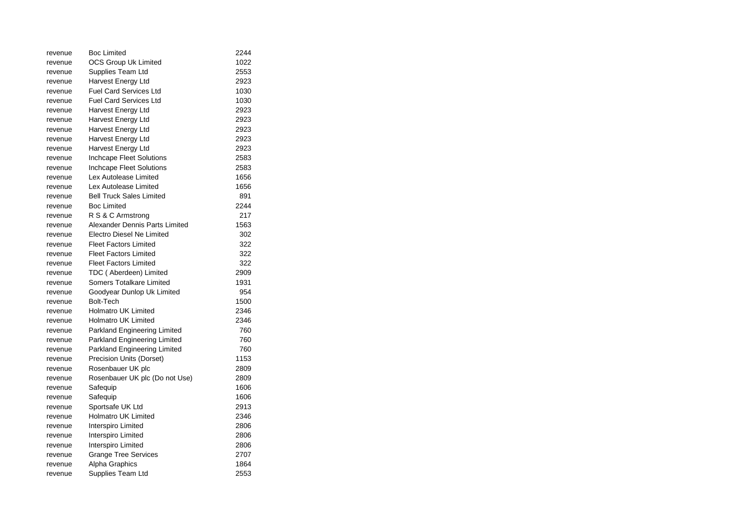| revenue | <b>Boc Limited</b>              | 2244 |
|---------|---------------------------------|------|
| revenue | OCS Group Uk Limited            | 1022 |
| revenue | Supplies Team Ltd               | 2553 |
| revenue | Harvest Energy Ltd              | 2923 |
| revenue | <b>Fuel Card Services Ltd</b>   | 1030 |
| revenue | <b>Fuel Card Services Ltd</b>   | 1030 |
| revenue | Harvest Energy Ltd              | 2923 |
| revenue | Harvest Energy Ltd              | 2923 |
| revenue | Harvest Energy Ltd              | 2923 |
| revenue | Harvest Energy Ltd              | 2923 |
| revenue | Harvest Energy Ltd              | 2923 |
| revenue | Inchcape Fleet Solutions        | 2583 |
| revenue | <b>Inchcape Fleet Solutions</b> | 2583 |
| revenue | Lex Autolease Limited           | 1656 |
| revenue | Lex Autolease Limited           | 1656 |
| revenue | <b>Bell Truck Sales Limited</b> | 891  |
| revenue | <b>Boc Limited</b>              | 2244 |
| revenue | R S & C Armstrong               | 217  |
| revenue | Alexander Dennis Parts Limited  | 1563 |
| revenue | Electro Diesel Ne Limited       | 302  |
| revenue | <b>Fleet Factors Limited</b>    | 322  |
| revenue | <b>Fleet Factors Limited</b>    | 322  |
| revenue | <b>Fleet Factors Limited</b>    | 322  |
| revenue | TDC (Aberdeen) Limited          | 2909 |
| revenue | Somers Totalkare Limited        | 1931 |
| revenue | Goodyear Dunlop Uk Limited      | 954  |
| revenue | <b>Bolt-Tech</b>                | 1500 |
| revenue | <b>Holmatro UK Limited</b>      | 2346 |
| revenue | <b>Holmatro UK Limited</b>      | 2346 |
| revenue | Parkland Engineering Limited    | 760  |
| revenue | Parkland Engineering Limited    | 760  |
| revenue | Parkland Engineering Limited    | 760  |
| revenue | Precision Units (Dorset)        | 1153 |
| revenue | Rosenbauer UK plc               | 2809 |
| revenue | Rosenbauer UK plc (Do not Use)  | 2809 |
| revenue | Safequip                        | 1606 |
| revenue | Safequip                        | 1606 |
| revenue | Sportsafe UK Ltd                | 2913 |
| revenue | <b>Holmatro UK Limited</b>      | 2346 |
| revenue | Interspiro Limited              | 2806 |
| revenue | Interspiro Limited              | 2806 |
| revenue | Interspiro Limited              | 2806 |
| revenue | Grange Tree Services            | 2707 |
| revenue | Alpha Graphics                  | 1864 |
| revenue | Supplies Team Ltd               | 2553 |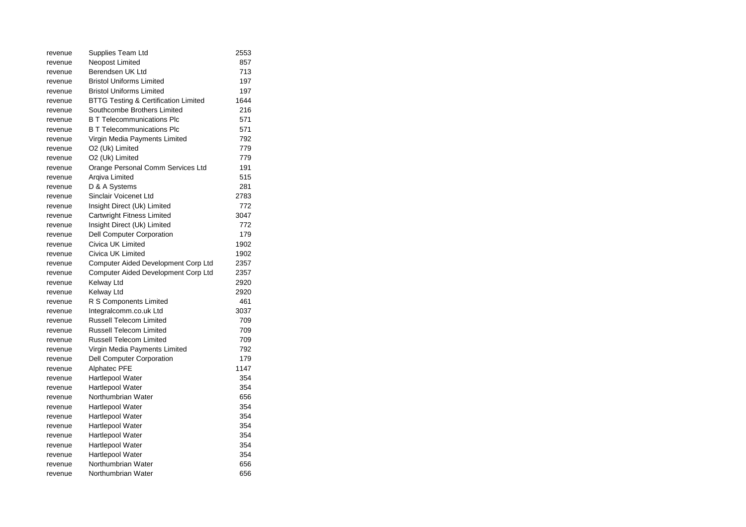| revenue | Supplies Team Ltd                               | 2553 |
|---------|-------------------------------------------------|------|
| revenue | Neopost Limited                                 | 857  |
| revenue | Berendsen UK Ltd                                | 713  |
| revenue | <b>Bristol Uniforms Limited</b>                 | 197  |
| revenue | <b>Bristol Uniforms Limited</b>                 | 197  |
| revenue | <b>BTTG Testing &amp; Certification Limited</b> | 1644 |
| revenue | Southcombe Brothers Limited                     | 216  |
| revenue | <b>B T Telecommunications Plc</b>               | 571  |
| revenue | <b>B T Telecommunications Plc</b>               | 571  |
| revenue | Virgin Media Payments Limited                   | 792  |
| revenue | O2 (Uk) Limited                                 | 779  |
| revenue | O2 (Uk) Limited                                 | 779  |
| revenue | Orange Personal Comm Services Ltd               | 191  |
| revenue | Argiva Limited                                  | 515  |
| revenue | D & A Systems                                   | 281  |
| revenue | Sinclair Voicenet Ltd                           | 2783 |
| revenue | Insight Direct (Uk) Limited                     | 772  |
| revenue | Cartwright Fitness Limited                      | 3047 |
| revenue | Insight Direct (Uk) Limited                     | 772  |
| revenue | <b>Dell Computer Corporation</b>                | 179  |
| revenue | Civica UK Limited                               | 1902 |
| revenue | Civica UK Limited                               | 1902 |
| revenue | Computer Aided Development Corp Ltd             | 2357 |
| revenue | Computer Aided Development Corp Ltd             | 2357 |
| revenue | Kelway Ltd                                      | 2920 |
| revenue | Kelway Ltd                                      | 2920 |
| revenue | R S Components Limited                          | 461  |
| revenue | Integralcomm.co.uk Ltd                          | 3037 |
| revenue | <b>Russell Telecom Limited</b>                  | 709  |
| revenue | <b>Russell Telecom Limited</b>                  | 709  |
| revenue | <b>Russell Telecom Limited</b>                  | 709  |
| revenue | Virgin Media Payments Limited                   | 792  |
| revenue | Dell Computer Corporation                       | 179  |
| revenue | <b>Alphatec PFE</b>                             | 1147 |
| revenue | Hartlepool Water                                | 354  |
| revenue | Hartlepool Water                                | 354  |
| revenue | Northumbrian Water                              | 656  |
| revenue | Hartlepool Water                                | 354  |
| revenue | Hartlepool Water                                | 354  |
| revenue | Hartlepool Water                                | 354  |
| revenue | Hartlepool Water                                | 354  |
| revenue | Hartlepool Water                                | 354  |
| revenue | Hartlepool Water                                | 354  |
| revenue | Northumbrian Water                              | 656  |
| revenue | Northumbrian Water                              | 656  |